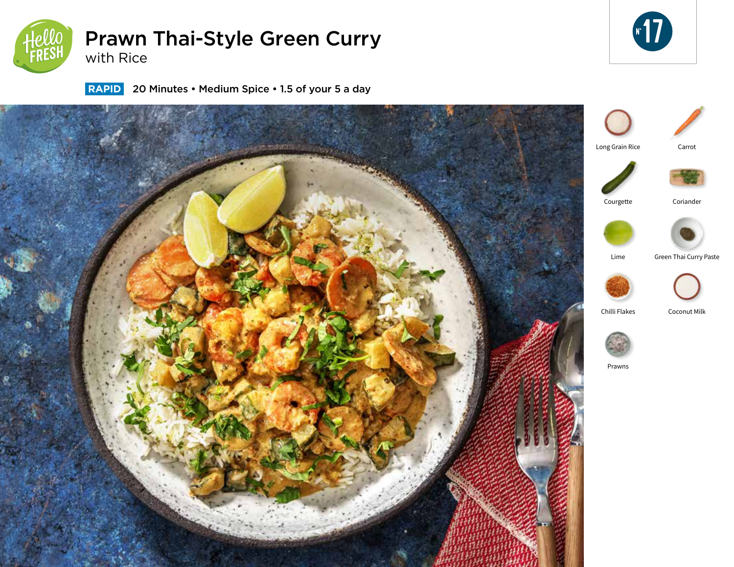

# Prawn Thai-Style Green Curry with Rice



 **RAPID** 20 Minutes • Medium Spice • 1.5 of your 5 a day